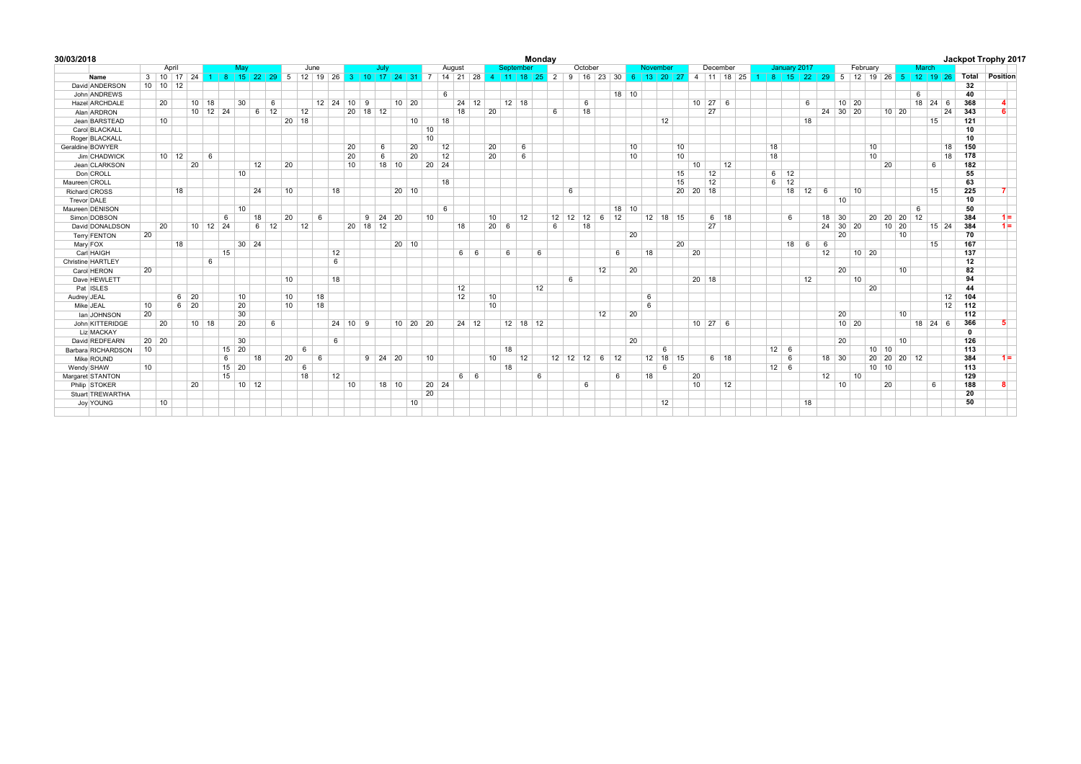| 30/03/2018          |    |                    |                   |               |                                                                                                                                              |              |             |    |         |            |    |                 |               |         |                |    |       |        |              |    |              |           | Mondav     |    |    |                                     |    |         |    |    |            |          |                     |    |    |              |              |    |          |                             |           |         |                 |       |           |              | Jackpot Trophy 2017 |
|---------------------|----|--------------------|-------------------|---------------|----------------------------------------------------------------------------------------------------------------------------------------------|--------------|-------------|----|---------|------------|----|-----------------|---------------|---------|----------------|----|-------|--------|--------------|----|--------------|-----------|------------|----|----|-------------------------------------|----|---------|----|----|------------|----------|---------------------|----|----|--------------|--------------|----|----------|-----------------------------|-----------|---------|-----------------|-------|-----------|--------------|---------------------|
|                     |    | April              |                   |               | May                                                                                                                                          |              |             |    |         | June       |    |                 |               | July    |                |    |       | August |              |    |              | September |            |    |    | October                             |    |         |    |    | November   |          | December            |    |    |              | January 2017 |    |          |                             | February  |         |                 | March |           |              |                     |
| Name                |    |                    |                   |               | 3 10 17 24 1 8 15 22 29 5 12 19 26 3 10 17 24 31 7 14 21 28 4 11 18 25 2 9 16 23 30 6 13 20 27 4 11 18 25 1 8 15 22 29 5 12 19 26 5 12 19 26 |              |             |    |         |            |    |                 |               |         |                |    |       |        |              |    |              |           |            |    |    |                                     |    |         |    |    |            |          |                     |    |    |              |              |    |          |                             |           |         |                 |       |           | Total        | Position            |
| David ANDERSON      |    | $10$ 10 12         |                   |               |                                                                                                                                              |              |             |    |         |            |    |                 |               |         |                |    |       |        |              |    |              |           |            |    |    |                                     |    |         |    |    |            |          |                     |    |    |              |              |    |          |                             |           |         |                 |       |           | 32           |                     |
| John ANDREWS        |    |                    |                   |               |                                                                                                                                              |              |             |    |         |            |    |                 |               |         |                |    |       | 6      |              |    |              |           |            |    |    |                                     |    | $18$ 10 |    |    |            |          |                     |    |    |              |              |    |          |                             |           |         |                 | 6     |           | 40           |                     |
| Hazel ARCHDALE      |    | 20                 |                   | $10$ 18       | 30                                                                                                                                           |              | 6           |    |         | 12 24 10 9 |    |                 |               |         | $10$ 20        |    |       |        | 24           | 12 |              | $12$ 18   |            |    |    | 6                                   |    |         |    |    |            |          | $10 \mid 27 \mid 6$ |    |    |              | 6            |    |          | $10 \overline{\smash{)}20}$ |           |         |                 |       | 18 24 6   | 368          |                     |
| Alan ARDRON         |    |                    |                   |               | $10$ 12 24                                                                                                                                   |              | $6 \mid 12$ |    | 12      |            |    |                 | 20 18 12      |         |                |    |       |        | 18           |    | 20           |           |            | 6  |    | 18                                  |    |         |    |    |            |          | 27                  |    |    |              |              |    | 24 30 20 |                             |           | $10$ 20 |                 |       | 24        | 343          |                     |
| Jean BARSTEAD       |    | 10                 |                   |               |                                                                                                                                              |              |             |    | $20$ 18 |            |    |                 |               |         |                | 10 |       | 18     |              |    |              |           |            |    |    |                                     |    |         |    |    | 12         |          |                     |    |    |              | 18           |    |          |                             |           |         |                 |       | 15        | 121          |                     |
| Carol BLACKALL      |    |                    |                   |               |                                                                                                                                              |              |             |    |         |            |    |                 |               |         |                |    | 10    |        |              |    |              |           |            |    |    |                                     |    |         |    |    |            |          |                     |    |    |              |              |    |          |                             |           |         |                 |       |           | 10           |                     |
| Roger BLACKALL      |    |                    |                   |               |                                                                                                                                              |              |             |    |         |            |    |                 |               |         |                |    | 10    |        |              |    |              |           |            |    |    |                                     |    |         |    |    |            |          |                     |    |    |              |              |    |          |                             |           |         |                 |       |           | 10           |                     |
| Geraldine BOWYER    |    |                    |                   |               |                                                                                                                                              |              |             |    |         |            |    | 20              |               | 6       |                | 20 |       | 12     |              |    | 20           | 6         |            |    |    |                                     |    |         | 10 |    | 10         |          |                     |    | 18 |              |              |    |          |                             | 10        |         |                 |       | 18        | 150          |                     |
| Jim CHADWICK        |    | $10 \quad 12$      |                   | 6             |                                                                                                                                              |              |             |    |         |            |    | 20              |               | 6       |                | 20 |       | 12     |              |    | 20           | 6         |            |    |    |                                     |    |         | 10 |    | 10         |          |                     |    | 18 |              |              |    |          |                             | 10        |         |                 |       | 18        | 178          |                     |
| Jean CLARKSON       |    |                    | 20                |               |                                                                                                                                              | 12           |             | 20 |         |            |    | 10              |               | $18$ 10 |                |    | 20 24 |        |              |    |              |           |            |    |    |                                     |    |         |    |    |            | 10       |                     | 12 |    |              |              |    |          |                             |           | 20      |                 |       | 6         | 182          |                     |
| Don CROLL           |    |                    |                   |               | 10                                                                                                                                           |              |             |    |         |            |    |                 |               |         |                |    |       |        |              |    |              |           |            |    |    |                                     |    |         |    |    | 15         |          | 12                  |    | 6  | 12           |              |    |          |                             |           |         |                 |       |           | 55           |                     |
| Maureen CROLL       |    |                    |                   |               |                                                                                                                                              |              |             |    |         |            |    |                 |               |         |                |    |       | 18     |              |    |              |           |            |    |    |                                     |    |         |    |    | 15         |          | 12                  |    | 6  | 12           |              |    |          |                             |           |         |                 |       |           | 63           |                     |
| Richard CROSS       |    |                    | 18                |               |                                                                                                                                              | 24           |             | 10 |         |            | 18 |                 |               |         | $20 \mid 10$   |    |       |        |              |    |              |           |            |    | 6  |                                     |    |         |    |    |            | 20 20 18 |                     |    |    |              | 18 12        | 6  |          | 10                          |           |         |                 |       | 15        | 225          |                     |
| Trevor DALE         |    |                    |                   |               |                                                                                                                                              |              |             |    |         |            |    |                 |               |         |                |    |       |        |              |    |              |           |            |    |    |                                     |    |         |    |    |            |          |                     |    |    |              |              |    | 10       |                             |           |         |                 |       |           | 10           |                     |
| Maureen DENISON     |    |                    |                   |               | 10                                                                                                                                           |              |             |    |         |            |    |                 |               |         |                |    |       | 6      |              |    |              |           |            |    |    |                                     |    | $18$ 10 |    |    |            |          |                     |    |    |              |              |    |          |                             |           |         |                 | 6     |           | 50           |                     |
| Simon DOBSON        |    |                    |                   |               | 6                                                                                                                                            | 18           |             | 20 |         | 6          |    |                 | $9$ 24 20     |         |                |    | 10    |        |              |    | 10           | 12        |            | 12 | 12 | $12 \quad 6 \quad 12$               |    |         |    |    | 12 18 15   |          | $6 \mid 18$         |    |    | 6            |              |    | 18 30    |                             |           |         | 20 20 20 12     |       |           | 384          | $1 =$               |
| David DONALDSON     |    | 20                 |                   |               | $10 \quad 12 \quad 24$                                                                                                                       |              | $6 \mid 12$ |    | 12      |            |    |                 | 20 18 12      |         |                |    |       |        | 18           |    | $20 \quad 6$ |           |            | 6  |    | 18                                  |    |         |    |    |            |          | 27                  |    |    |              |              |    |          | 24 30 20                    |           | 10 20   |                 |       | 15 24     | 384          | $1 =$               |
| <b>Terry FENTON</b> | 20 |                    |                   |               |                                                                                                                                              |              |             |    |         |            |    |                 |               |         |                |    |       |        |              |    |              |           |            |    |    |                                     |    |         | 20 |    |            |          |                     |    |    |              |              |    | 20       |                             |           |         | 10              |       |           | 70           |                     |
| Mary FOX            |    |                    | 18                |               |                                                                                                                                              | $30 \mid 24$ |             |    |         |            |    |                 |               |         | $20 \mid 10$   |    |       |        |              |    |              |           |            |    |    |                                     |    |         |    |    | 20         |          |                     |    |    |              | $18$ 6       | 6  |          |                             |           |         |                 |       | 15        | 167          |                     |
| Carl HAIGH          |    |                    |                   |               | 15                                                                                                                                           |              |             |    |         |            | 12 |                 |               |         |                |    |       |        | 6 6          |    |              | 6         | 6          |    |    |                                     |    | 6       |    | 18 |            | 20       |                     |    |    |              |              | 12 |          |                             | $10 \ 20$ |         |                 |       |           | 137          |                     |
| Christine HARTLEY   |    |                    |                   | 6             |                                                                                                                                              |              |             |    |         |            | 6  |                 |               |         |                |    |       |        |              |    |              |           |            |    |    |                                     |    |         |    |    |            |          |                     |    |    |              |              |    |          |                             |           |         |                 |       |           | 12           |                     |
| Carol HERON         | 20 |                    |                   |               |                                                                                                                                              |              |             |    |         |            |    |                 |               |         |                |    |       |        |              |    |              |           |            |    |    |                                     | 12 |         | 20 |    |            |          |                     |    |    |              |              |    | 20       |                             |           |         | 10              |       |           | 82           |                     |
| Dave HEWLETT        |    |                    |                   |               |                                                                                                                                              |              |             | 10 |         |            | 18 |                 |               |         |                |    |       |        |              |    |              |           |            |    | 6  |                                     |    |         |    |    |            |          | $20$ 18             |    |    |              | 12           |    |          | 10                          |           |         |                 |       |           | 94           |                     |
| Pat ISLES           |    |                    |                   |               |                                                                                                                                              |              |             |    |         |            |    |                 |               |         |                |    |       |        | 12           |    |              |           | 12         |    |    |                                     |    |         |    |    |            |          |                     |    |    |              |              |    |          |                             | 20        |         |                 |       |           | 44           |                     |
| Audrey JEAL         |    |                    | $6 \mid 20$       |               | 10                                                                                                                                           |              |             | 10 |         | 18         |    |                 |               |         |                |    |       |        | 12           |    | 10           |           |            |    |    |                                     |    |         |    | 6  |            |          |                     |    |    |              |              |    |          |                             |           |         |                 |       | 12        | 104          |                     |
| Mike JEAL           | 10 |                    | $6 \overline{20}$ |               | 20                                                                                                                                           |              |             | 10 |         | 18         |    |                 |               |         |                |    |       |        |              |    | 10           |           |            |    |    |                                     |    |         |    | 6  |            |          |                     |    |    |              |              |    |          |                             |           |         |                 |       | 12        | 112          |                     |
| lan JOHNSON         | 20 |                    |                   |               | 30                                                                                                                                           |              |             |    |         |            |    |                 |               |         |                |    |       |        |              |    |              |           |            |    |    |                                     | 12 |         | 20 |    |            |          |                     |    |    |              |              |    | 20       |                             |           |         | 10 <sup>1</sup> |       |           | 112          |                     |
| John KITTERIDGE     |    | 20                 |                   | $10 \quad 18$ | 20                                                                                                                                           |              | 6           |    |         |            |    | $24$ 10 9       |               |         | $10 \ 20 \ 20$ |    |       |        | $24 \mid 12$ |    |              |           | $12$ 18 12 |    |    |                                     |    |         |    |    |            |          | $10 \ 27 \ 6$       |    |    |              |              |    |          | $10 \mid 20$                |           |         |                 |       | $18$ 24 6 | 366          |                     |
| Liz MACKAY          |    |                    |                   |               |                                                                                                                                              |              |             |    |         |            |    |                 |               |         |                |    |       |        |              |    |              |           |            |    |    |                                     |    |         |    |    |            |          |                     |    |    |              |              |    |          |                             |           |         |                 |       |           | $\mathbf{0}$ |                     |
| David REDFEARN      |    | $20 \overline{20}$ |                   |               | 30                                                                                                                                           |              |             |    |         |            | 6  |                 |               |         |                |    |       |        |              |    |              |           |            |    |    |                                     |    |         | 20 |    |            |          |                     |    |    |              |              |    | 20       |                             |           |         | 10              |       |           | 126          |                     |
| Barbara RICHARDSON  | 10 |                    |                   |               | $15$ 20                                                                                                                                      |              |             |    | 6       |            |    |                 |               |         |                |    |       |        |              |    |              | 18        |            |    |    |                                     |    |         |    |    | 6          |          |                     |    |    | $12 \quad 6$ |              |    |          |                             |           | $10$ 10 |                 |       |           | 113          |                     |
| Mike ROUND          |    |                    |                   |               | 6                                                                                                                                            | 18           |             | 20 |         | 6          |    |                 | $9 \ 24 \ 20$ |         |                |    | 10    |        |              |    | 10           | 12        |            |    |    | $12 \mid 12 \mid 12 \mid 6 \mid 12$ |    |         |    |    | $12$ 18 15 |          | $6 \mid 18$         |    |    | 6            |              |    | $18$ 30  |                             |           |         | 20 20 20 12     |       |           | 384          | $1 =$               |
| Wendy SHAW          | 10 |                    |                   |               | $15$ 20                                                                                                                                      |              |             |    | 6       |            |    |                 |               |         |                |    |       |        |              |    |              | 18        |            |    |    |                                     |    |         |    |    | 6          |          |                     |    |    | $12 \quad 6$ |              |    |          |                             |           | $10$ 10 |                 |       |           | 113          |                     |
| Margaret STANTON    |    |                    |                   |               | 15                                                                                                                                           |              |             |    | 18      |            | 12 |                 |               |         |                |    |       |        | 6 6          |    |              |           | 6          |    |    |                                     |    | 6       |    | 18 |            | 20       |                     |    |    |              |              | 12 |          | 10                          |           |         |                 |       |           | 129          |                     |
| Philip STOKER       |    |                    | 20                |               |                                                                                                                                              | $10 \mid 12$ |             |    |         |            |    | 10 <sup>1</sup> |               | $18$ 10 |                |    | 20 24 |        |              |    |              |           |            |    |    | 6                                   |    |         |    |    |            | 10       |                     | 12 |    |              |              |    | 10       |                             |           | 20      |                 |       | 6         | 188          |                     |
| Stuart TREWARTHA    |    |                    |                   |               |                                                                                                                                              |              |             |    |         |            |    |                 |               |         |                |    | 20    |        |              |    |              |           |            |    |    |                                     |    |         |    |    |            |          |                     |    |    |              |              |    |          |                             |           |         |                 |       |           | 20           |                     |
| Joy YOUNG           |    | 10                 |                   |               |                                                                                                                                              |              |             |    |         |            |    |                 |               |         |                | 10 |       |        |              |    |              |           |            |    |    |                                     |    |         |    |    | 12         |          |                     |    |    |              | 18           |    |          |                             |           |         |                 |       |           | 50           |                     |
|                     |    |                    |                   |               |                                                                                                                                              |              |             |    |         |            |    |                 |               |         |                |    |       |        |              |    |              |           |            |    |    |                                     |    |         |    |    |            |          |                     |    |    |              |              |    |          |                             |           |         |                 |       |           |              |                     |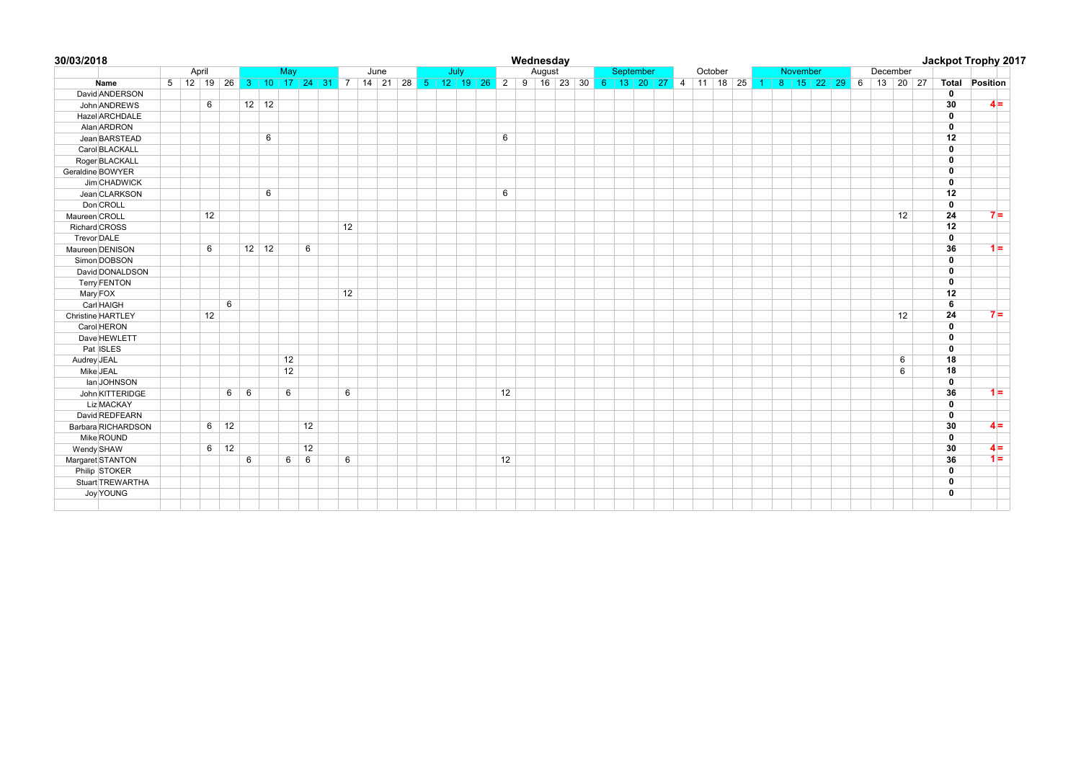|                      |       |    |                 |              |              |                 |    |    |                                                |  |      |    | Wednesday |  |           |  |         |  |  |          |                                                 |  |          |    |              | Jackpot Trophy 2017       |
|----------------------|-------|----|-----------------|--------------|--------------|-----------------|----|----|------------------------------------------------|--|------|----|-----------|--|-----------|--|---------|--|--|----------|-------------------------------------------------|--|----------|----|--------------|---------------------------|
|                      | April |    |                 |              |              | May             |    |    | June                                           |  | July |    | August    |  | September |  | October |  |  | November |                                                 |  | December |    |              |                           |
| Name                 |       |    |                 |              |              |                 |    |    | 5 12 19 26 3 10 17 24 31 7 14 21 28 5 12 19 26 |  |      |    |           |  |           |  |         |  |  |          | 2 9 16 23 30 6 13 20 27 4 11 18 25 1 8 15 22 29 |  |          |    |              | 6 13 20 27 Total Position |
| David ANDERSON       |       |    |                 |              |              |                 |    |    |                                                |  |      |    |           |  |           |  |         |  |  |          |                                                 |  |          |    | 0            |                           |
| John ANDREWS         |       | 6  |                 |              | $12 \mid 12$ |                 |    |    |                                                |  |      |    |           |  |           |  |         |  |  |          |                                                 |  |          |    | 30           | $4 =$                     |
| Hazel ARCHDALE       |       |    |                 |              |              |                 |    |    |                                                |  |      |    |           |  |           |  |         |  |  |          |                                                 |  |          |    | 0            |                           |
| Alan ARDRON          |       |    |                 |              |              |                 |    |    |                                                |  |      |    |           |  |           |  |         |  |  |          |                                                 |  |          |    | $\mathbf{0}$ |                           |
| Jean BARSTEAD        |       |    |                 |              | 6            |                 |    |    |                                                |  |      | 6  |           |  |           |  |         |  |  |          |                                                 |  |          |    | 12           |                           |
| Carol BLACKALL       |       |    |                 |              |              |                 |    |    |                                                |  |      |    |           |  |           |  |         |  |  |          |                                                 |  |          |    | 0            |                           |
| Roger BLACKALL       |       |    |                 |              |              |                 |    |    |                                                |  |      |    |           |  |           |  |         |  |  |          |                                                 |  |          |    | 0            |                           |
| Geraldine BOWYER     |       |    |                 |              |              |                 |    |    |                                                |  |      |    |           |  |           |  |         |  |  |          |                                                 |  |          |    | $\mathbf{0}$ |                           |
| Jim CHADWICK         |       |    |                 |              |              |                 |    |    |                                                |  |      |    |           |  |           |  |         |  |  |          |                                                 |  |          |    | 0            |                           |
| Jean CLARKSON        |       |    |                 |              | 6            |                 |    |    |                                                |  |      | 6  |           |  |           |  |         |  |  |          |                                                 |  |          |    | 12           |                           |
| Don CROLL            |       |    |                 |              |              |                 |    |    |                                                |  |      |    |           |  |           |  |         |  |  |          |                                                 |  |          |    | $\mathbf{0}$ |                           |
| Maureen CROLL        |       | 12 |                 |              |              |                 |    |    |                                                |  |      |    |           |  |           |  |         |  |  |          |                                                 |  |          | 12 | 24           | $7 =$                     |
| <b>Richard CROSS</b> |       |    |                 |              |              |                 |    | 12 |                                                |  |      |    |           |  |           |  |         |  |  |          |                                                 |  |          |    | 12           |                           |
| Trevor DALE          |       |    |                 |              |              |                 |    |    |                                                |  |      |    |           |  |           |  |         |  |  |          |                                                 |  |          |    | $\mathbf{0}$ |                           |
| Maureen DENISON      |       | 6  |                 | $12 \mid 12$ |              |                 | 6  |    |                                                |  |      |    |           |  |           |  |         |  |  |          |                                                 |  |          |    | 36           | $1 =$                     |
| Simon DOBSON         |       |    |                 |              |              |                 |    |    |                                                |  |      |    |           |  |           |  |         |  |  |          |                                                 |  |          |    | 0            |                           |
| David DONALDSON      |       |    |                 |              |              |                 |    |    |                                                |  |      |    |           |  |           |  |         |  |  |          |                                                 |  |          |    | 0            |                           |
| <b>Terry FENTON</b>  |       |    |                 |              |              |                 |    |    |                                                |  |      |    |           |  |           |  |         |  |  |          |                                                 |  |          |    | 0            |                           |
| Mary FOX             |       |    |                 |              |              |                 |    | 12 |                                                |  |      |    |           |  |           |  |         |  |  |          |                                                 |  |          |    | 12           |                           |
| Carl HAIGH           |       |    | 6               |              |              |                 |    |    |                                                |  |      |    |           |  |           |  |         |  |  |          |                                                 |  |          |    | 6            |                           |
| Christine HARTLEY    |       | 12 |                 |              |              |                 |    |    |                                                |  |      |    |           |  |           |  |         |  |  |          |                                                 |  |          | 12 | 24           | $7 =$                     |
| Carol HERON          |       |    |                 |              |              |                 |    |    |                                                |  |      |    |           |  |           |  |         |  |  |          |                                                 |  |          |    | 0            |                           |
| Dave HEWLETT         |       |    |                 |              |              |                 |    |    |                                                |  |      |    |           |  |           |  |         |  |  |          |                                                 |  |          |    | 0            |                           |
| Pat ISLES            |       |    |                 |              |              |                 |    |    |                                                |  |      |    |           |  |           |  |         |  |  |          |                                                 |  |          |    | 0            |                           |
| Audrey JEAL          |       |    |                 |              |              | 12              |    |    |                                                |  |      |    |           |  |           |  |         |  |  |          |                                                 |  |          | 6  | 18           |                           |
| Mike JEAL            |       |    |                 |              |              | 12              |    |    |                                                |  |      |    |           |  |           |  |         |  |  |          |                                                 |  |          | 6  | 18           |                           |
| lan JOHNSON          |       |    |                 |              |              |                 |    |    |                                                |  |      |    |           |  |           |  |         |  |  |          |                                                 |  |          |    | $\mathbf 0$  |                           |
| John KITTERIDGE      |       |    | $6\overline{6}$ | 6            |              | $6\phantom{1}6$ |    | 6  |                                                |  |      | 12 |           |  |           |  |         |  |  |          |                                                 |  |          |    | 36           | $1 =$                     |
| <b>Liz MACKAY</b>    |       |    |                 |              |              |                 |    |    |                                                |  |      |    |           |  |           |  |         |  |  |          |                                                 |  |          |    | 0            |                           |
| David REDFEARN       |       |    |                 |              |              |                 |    |    |                                                |  |      |    |           |  |           |  |         |  |  |          |                                                 |  |          |    | 0            |                           |
| Barbara RICHARDSON   |       |    | $6 \mid 12$     |              |              |                 | 12 |    |                                                |  |      |    |           |  |           |  |         |  |  |          |                                                 |  |          |    | 30           | $4 =$                     |
| Mike ROUND           |       |    |                 |              |              |                 |    |    |                                                |  |      |    |           |  |           |  |         |  |  |          |                                                 |  |          |    | 0            |                           |
| Wendy SHAW           |       | 6  | 12              |              |              |                 | 12 |    |                                                |  |      |    |           |  |           |  |         |  |  |          |                                                 |  |          |    | 30           | $4 =$                     |
| Margaret STANTON     |       |    |                 | 6            |              | 6               | 6  | 6  |                                                |  |      | 12 |           |  |           |  |         |  |  |          |                                                 |  |          |    | 36           | $1 =$                     |
| Philip STOKER        |       |    |                 |              |              |                 |    |    |                                                |  |      |    |           |  |           |  |         |  |  |          |                                                 |  |          |    | $\mathbf{0}$ |                           |
| Stuart TREWARTHA     |       |    |                 |              |              |                 |    |    |                                                |  |      |    |           |  |           |  |         |  |  |          |                                                 |  |          |    | 0            |                           |
| Joy YOUNG            |       |    |                 |              |              |                 |    |    |                                                |  |      |    |           |  |           |  |         |  |  |          |                                                 |  |          |    | $\mathbf{0}$ |                           |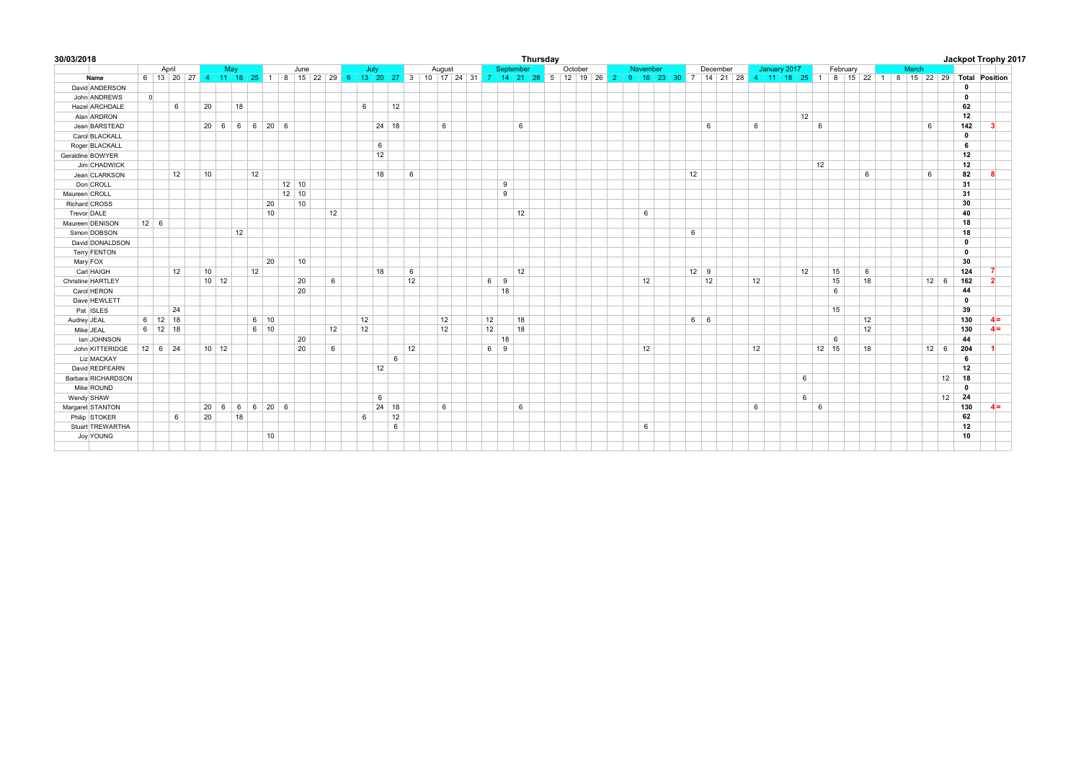| 30/03/2018         |             |               |    |              |                           |          |             |              |      |    |    |      |         |    |        |            |           | Thursday |                                                                                                                                                            |          |    |             |    |              |    |         |          |    |       |              |              | Jackpot Trophy 2017 |
|--------------------|-------------|---------------|----|--------------|---------------------------|----------|-------------|--------------|------|----|----|------|---------|----|--------|------------|-----------|----------|------------------------------------------------------------------------------------------------------------------------------------------------------------|----------|----|-------------|----|--------------|----|---------|----------|----|-------|--------------|--------------|---------------------|
|                    |             | April         |    |              | May                       |          |             |              | June |    |    | July |         |    | August |            | September |          | October                                                                                                                                                    | November |    | December    |    | January 2017 |    |         | February |    | March |              |              |                     |
| Name               |             |               |    |              |                           |          |             |              |      |    |    |      |         |    |        |            |           |          | 6 13 20 27 4 11 18 25 1 8 15 22 29 6 13 20 27 3 10 17 24 31 7 14 21 28 5 12 19 26 2 9 16 23 30 7 14 21 28 4 11 18 25 1 8 15 22 1 8 15 22 29 Total Position |          |    |             |    |              |    |         |          |    |       |              |              |                     |
| David ANDERSON     |             |               |    |              |                           |          |             |              |      |    |    |      |         |    |        |            |           |          |                                                                                                                                                            |          |    |             |    |              |    |         |          |    |       |              | $\mathbf 0$  |                     |
| John ANDREWS       | $\Omega$    |               |    |              |                           |          |             |              |      |    |    |      |         |    |        |            |           |          |                                                                                                                                                            |          |    |             |    |              |    |         |          |    |       |              | $\mathbf 0$  |                     |
| Hazel ARCHDALE     |             |               | 6  | 20           | 18                        |          |             |              |      |    | 6  |      | 12      |    |        |            |           |          |                                                                                                                                                            |          |    |             |    |              |    |         |          |    |       |              | 62           |                     |
| Alan ARDRON        |             |               |    |              |                           |          |             |              |      |    |    |      |         |    |        |            |           |          |                                                                                                                                                            |          |    |             |    |              | 12 |         |          |    |       |              | 12           |                     |
| Jean BARSTEAD      |             |               |    |              | $20 \t6 \t6 \t6 \t20 \t6$ |          |             |              |      |    |    |      | 24 18   |    | 6      |            | 6         |          |                                                                                                                                                            |          |    | 6           | 6  |              |    | 6       |          |    |       | 6            | 142          | 3                   |
| Carol BLACKALL     |             |               |    |              |                           |          |             |              |      |    |    |      |         |    |        |            |           |          |                                                                                                                                                            |          |    |             |    |              |    |         |          |    |       |              | $\mathbf 0$  |                     |
| Roger BLACKALL     |             |               |    |              |                           |          |             |              |      |    |    | 6    |         |    |        |            |           |          |                                                                                                                                                            |          |    |             |    |              |    |         |          |    |       |              | 6            |                     |
| Geraldine BOWYER   |             |               |    |              |                           |          |             |              |      |    |    | 12   |         |    |        |            |           |          |                                                                                                                                                            |          |    |             |    |              |    |         |          |    |       |              | 12           |                     |
| Jim CHADWICK       |             |               |    |              |                           |          |             |              |      |    |    |      |         |    |        |            |           |          |                                                                                                                                                            |          |    |             |    |              |    | 12      |          |    |       |              | 12           |                     |
| Jean CLARKSON      |             |               | 12 | 10           |                           | 12       |             |              |      |    |    | 18   |         | 6  |        |            |           |          |                                                                                                                                                            |          | 12 |             |    |              |    |         |          | 6  |       | 6            | 82           | 8                   |
| Don CROLL          |             |               |    |              |                           |          |             | $12 \mid 10$ |      |    |    |      |         |    |        | 9          |           |          |                                                                                                                                                            |          |    |             |    |              |    |         |          |    |       |              | 31           |                     |
| Maureen CROLL      |             |               |    |              |                           |          |             | $12 \mid 10$ |      |    |    |      |         |    |        | 9          |           |          |                                                                                                                                                            |          |    |             |    |              |    |         |          |    |       |              | 31           |                     |
| Richard CROSS      |             |               |    |              |                           |          | 20          | 10           |      |    |    |      |         |    |        |            |           |          |                                                                                                                                                            |          |    |             |    |              |    |         |          |    |       |              | 30           |                     |
| Trevor DALE        |             |               |    |              |                           |          | 10          |              |      | 12 |    |      |         |    |        |            | 12        |          |                                                                                                                                                            | 6        |    |             |    |              |    |         |          |    |       |              | 40           |                     |
| Maureen DENISON    | $12 \mid 6$ |               |    |              |                           |          |             |              |      |    |    |      |         |    |        |            |           |          |                                                                                                                                                            |          |    |             |    |              |    |         |          |    |       |              | 18           |                     |
| Simon DOBSON       |             |               |    |              | 12                        |          |             |              |      |    |    |      |         |    |        |            |           |          |                                                                                                                                                            |          | 6  |             |    |              |    |         |          |    |       |              | 18           |                     |
| David DONALDSON    |             |               |    |              |                           |          |             |              |      |    |    |      |         |    |        |            |           |          |                                                                                                                                                            |          |    |             |    |              |    |         |          |    |       |              | $\mathbf 0$  |                     |
| Terry FENTON       |             |               |    |              |                           |          |             |              |      |    |    |      |         |    |        |            |           |          |                                                                                                                                                            |          |    |             |    |              |    |         |          |    |       |              | $\mathbf 0$  |                     |
| Mary FOX           |             |               |    |              |                           |          | 20          |              | 10   |    |    |      |         |    |        |            |           |          |                                                                                                                                                            |          |    |             |    |              |    |         |          |    |       |              | 30           |                     |
| Carl HAIGH         |             |               | 12 | 10           |                           | 12       |             |              |      |    |    | 18   |         | 6  |        |            | 12        |          |                                                                                                                                                            |          |    | $12 \mid 9$ |    |              | 12 |         | 15       | 6  |       |              | 124          | 7                   |
| Christine HARTLEY  |             |               |    |              | $10 \mid 12$              |          |             | 20           |      | 6  |    |      |         | 12 |        | 6 9        |           |          |                                                                                                                                                            | 12       |    | 12          | 12 |              |    |         | 15       | 18 |       | $12 \mid 6$  | 162          | $\overline{2}$      |
| Carol HERON        |             |               |    |              |                           |          |             | 20           |      |    |    |      |         |    |        | 18         |           |          |                                                                                                                                                            |          |    |             |    |              |    |         | 6        |    |       |              | 44           |                     |
| Dave HEWLETT       |             |               |    |              |                           |          |             |              |      |    |    |      |         |    |        |            |           |          |                                                                                                                                                            |          |    |             |    |              |    |         |          |    |       |              | $\mathbf 0$  |                     |
| Pat ISLES          |             |               | 24 |              |                           |          |             |              |      |    |    |      |         |    |        |            |           |          |                                                                                                                                                            |          |    |             |    |              |    |         | 15       |    |       |              | 39           |                     |
| Audrey JEAL        |             | $6$   12   18 |    |              |                           |          | $6 \mid 10$ |              |      |    | 12 |      |         |    | 12     | 12         | 18        |          |                                                                                                                                                            |          |    | $6 \mid 6$  |    |              |    |         |          | 12 |       |              | 130          | $4 =$               |
| Mike JEAL          |             | $6$ 12 18     |    |              |                           |          | $6 \mid 10$ |              |      | 12 | 12 |      |         |    | 12     | 12         | 18        |          |                                                                                                                                                            |          |    |             |    |              |    |         |          | 12 |       |              | 130          | $4 =$               |
| Ian JOHNSON        |             |               |    |              |                           |          |             | 20           |      |    |    |      |         |    |        | 18         |           |          |                                                                                                                                                            |          |    |             |    |              |    |         | 6        |    |       |              | 44           |                     |
| John KITTERIDGE    |             | $12 \ 6 \ 24$ |    | $10$ 12      |                           |          |             | 20           |      | 6  |    |      |         | 12 |        | $6 \mid 9$ |           |          |                                                                                                                                                            | 12       |    |             | 12 |              |    | $12$ 15 |          | 18 |       | $12 \quad 6$ | 204          |                     |
| Liz MACKAY         |             |               |    |              |                           |          |             |              |      |    |    |      | 6       |    |        |            |           |          |                                                                                                                                                            |          |    |             |    |              |    |         |          |    |       |              | 6            |                     |
| David REDFEARN     |             |               |    |              |                           |          |             |              |      |    |    | 12   |         |    |        |            |           |          |                                                                                                                                                            |          |    |             |    |              |    |         |          |    |       |              | 12           |                     |
| Barbara RICHARDSON |             |               |    |              |                           |          |             |              |      |    |    |      |         |    |        |            |           |          |                                                                                                                                                            |          |    |             |    |              | 6  |         |          |    |       | 12           | 18           |                     |
| Mike ROUND         |             |               |    |              |                           |          |             |              |      |    |    |      |         |    |        |            |           |          |                                                                                                                                                            |          |    |             |    |              |    |         |          |    |       |              | $\mathbf{0}$ |                     |
| Wendy SHAW         |             |               |    |              |                           |          |             |              |      |    |    | 6    |         |    |        |            |           |          |                                                                                                                                                            |          |    |             |    |              | 6  |         |          |    |       | 12           | 24           |                     |
| Margaret STANTON   |             |               |    | $20 \quad 6$ |                           | 6 6 20 6 |             |              |      |    |    |      | $24$ 18 |    | 6      |            | 6         |          |                                                                                                                                                            |          |    |             | 6  |              |    | 6       |          |    |       |              | 130          | $4 =$               |
| Philip STOKER      |             |               | 6  | 20           | 18                        |          |             |              |      |    | 6  |      | 12      |    |        |            |           |          |                                                                                                                                                            |          |    |             |    |              |    |         |          |    |       |              | 62           |                     |
| Stuart TREWARTHA   |             |               |    |              |                           |          |             |              |      |    |    |      | 6       |    |        |            |           |          |                                                                                                                                                            | 6        |    |             |    |              |    |         |          |    |       |              | 12           |                     |
| Joy YOUNG          |             |               |    |              |                           |          | 10          |              |      |    |    |      |         |    |        |            |           |          |                                                                                                                                                            |          |    |             |    |              |    |         |          |    |       |              | 10           |                     |